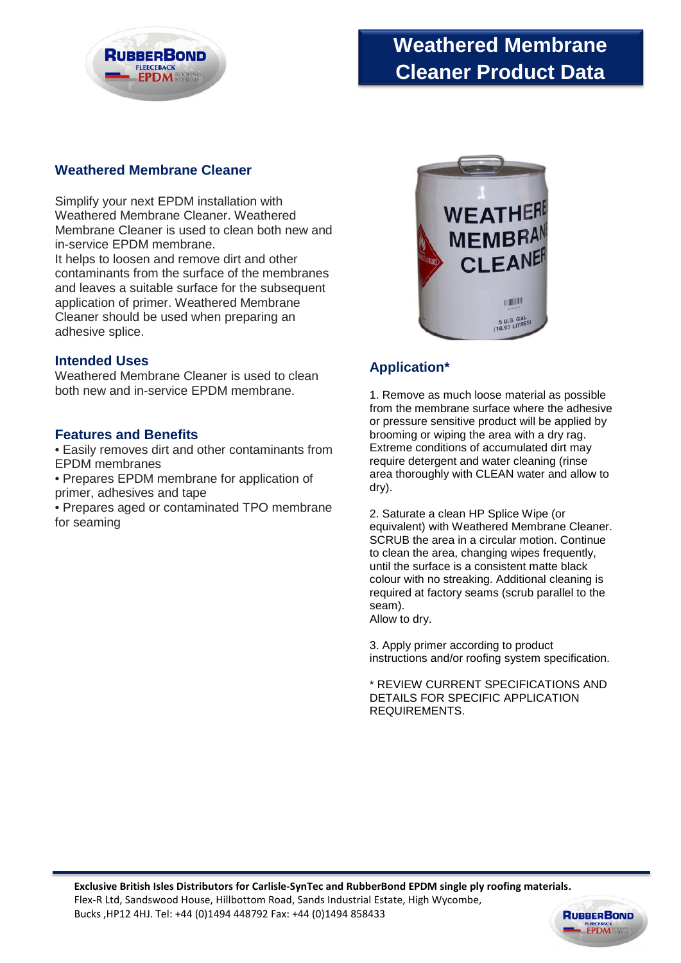

# **Weathered Membrane Cleaner Product Data**

# **Weathered Membrane Cleaner**

Simplify your next EPDM installation with Weathered Membrane Cleaner. Weathered Membrane Cleaner is used to clean both new and in-service EPDM membrane.

It helps to loosen and remove dirt and other contaminants from the surface of the membranes and leaves a suitable surface for the subsequent application of primer. Weathered Membrane Cleaner should be used when preparing an adhesive splice.

## **Intended Uses**

Weathered Membrane Cleaner is used to clean both new and in-service EPDM membrane.

#### **Features and Benefits**

• Easily removes dirt and other contaminants from EPDM membranes

• Prepares EPDM membrane for application of primer, adhesives and tape

• Prepares aged or contaminated TPO membrane for seaming



# **Application\***

1. Remove as much loose material as possible from the membrane surface where the adhesive or pressure sensitive product will be applied by brooming or wiping the area with a dry rag. Extreme conditions of accumulated dirt may require detergent and water cleaning (rinse area thoroughly with CLEAN water and allow to dry).

2. Saturate a clean HP Splice Wipe (or equivalent) with Weathered Membrane Cleaner. SCRUB the area in a circular motion. Continue to clean the area, changing wipes frequently, until the surface is a consistent matte black colour with no streaking. Additional cleaning is required at factory seams (scrub parallel to the seam).

Allow to dry.

3. Apply primer according to product instructions and/or roofing system specification.

\* REVIEW CURRENT SPECIFICATIONS AND DETAILS FOR SPECIFIC APPLICATION REQUIREMENTS.